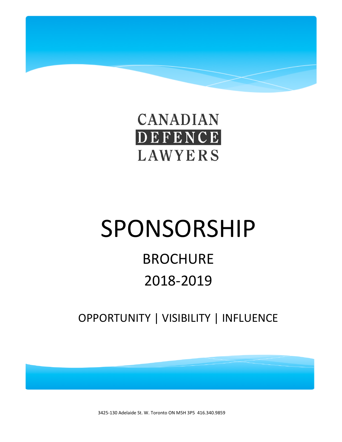

# SPONSORSHIP

## **BROCHURE** 2018-2019

OPPORTUNITY | VISIBILITY | INFLUENCE

3425-130 Adelaide St. W. Toronto ON M5H 3P5 416.340.9859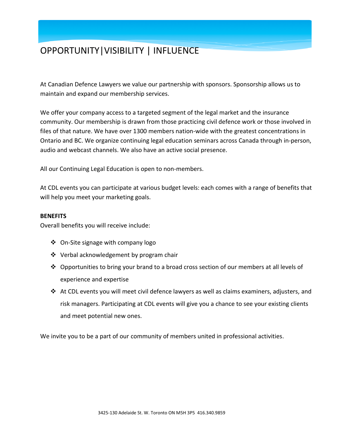## OPPORTUNITY|VISIBILITY | INFLUENCE

At Canadian Defence Lawyers we value our partnership with sponsors. Sponsorship allows us to maintain and expand our membership services.

We offer your company access to a targeted segment of the legal market and the insurance community. Our membership is drawn from those practicing civil defence work or those involved in files of that nature. We have over 1300 members nation-wide with the greatest concentrations in Ontario and BC. We organize continuing legal education seminars across Canada through in-person, audio and webcast channels. We also have an active social presence.

All our Continuing Legal Education is open to non-members.

At CDL events you can participate at various budget levels: each comes with a range of benefits that will help you meet your marketing goals.

#### **BENEFITS**

Overall benefits you will receive include:

- ❖ On-Site signage with company logo
- Verbal acknowledgement by program chair
- ❖ Opportunities to bring your brand to a broad cross section of our members at all levels of experience and expertise
- At CDL events you will meet civil defence lawyers as well as claims examiners, adjusters, and risk managers. Participating at CDL events will give you a chance to see your existing clients and meet potential new ones.

We invite you to be a part of our community of members united in professional activities.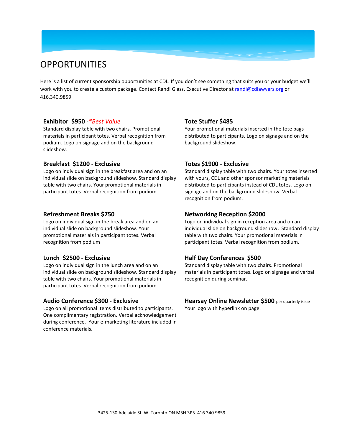### **OPPORTUNITIES**

Here is a list of current sponsorship opportunities at CDL. If you don't see something that suits you or your budget we'll work with you to create a custom package. Contact Randi Glass, Executive Director at [randi@cdlawyers.org](mailto:randi@cdlawyers.org) or 416.340.9859

#### **Exhibitor \$950** -*\*Best Value*

Standard display table with two chairs. Promotional materials in participant totes. Verbal recognition from podium. Logo on signage and on the background slideshow.

#### **Breakfast \$1200 - Exclusive**

Logo on individual sign in the breakfast area and on an individual slide on background slideshow. Standard display table with two chairs. Your promotional materials in participant totes. Verbal recognition from podium.

#### **Refreshment Breaks \$750**

Logo on individual sign in the break area and on an individual slide on background slideshow. Your promotional materials in participant totes. Verbal recognition from podium

#### **Lunch \$2500 - Exclusive**

Logo on individual sign in the lunch area and on an individual slide on background slideshow. Standard display table with two chairs. Your promotional materials in participant totes. Verbal recognition from podium.

#### **Audio Conference \$300 - Exclusive**

Logo on all promotional items distributed to participants. One complimentary registration. Verbal acknowledgement during conference. Your e-marketing literature included in conference materials.

#### **Tote Stuffer \$485**

Your promotional materials inserted in the tote bags distributed to participants. Logo on signage and on the background slideshow.

#### **Totes \$1900 - Exclusive**

Standard display table with two chairs. Your totes inserted with yours, CDL and other sponsor marketing materials distributed to participants instead of CDL totes. Logo on signage and on the background slideshow. Verbal recognition from podium.

#### **Networking Reception \$2000**

Logo on individual sign in reception area and on an individual slide on background slideshow**.** Standard display table with two chairs. Your promotional materials in participant totes. Verbal recognition from podium.

#### **Half Day Conferences \$500**

Standard display table with two chairs. Promotional materials in participant totes. Logo on signage and verbal recognition during seminar.

#### **Hearsay Online Newsletter \$500** per quarterly issue

Your logo with hyperlink on page.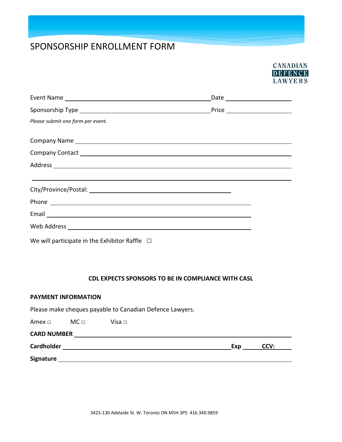## SPONSORSHIP ENROLLMENT FORM



| Please submit one form per event.                                                                                                                                                                                              |  |
|--------------------------------------------------------------------------------------------------------------------------------------------------------------------------------------------------------------------------------|--|
| Company Name example and the company Name example and the company Name example and the company of the company of the company of the company of the company of the company of the company of the company of the company of the  |  |
| Company Contact League and Company Contact League and Company Contact League and Company Contact League and Co                                                                                                                 |  |
|                                                                                                                                                                                                                                |  |
| <u> 1999 - Andrea San Andrea San Andrea San Andrea San Andrea San Andrea San Andrea San Andrea San Andrea San Andr</u>                                                                                                         |  |
| Phone example and the contract of the contract of the contract of the contract of the contract of the contract of the contract of the contract of the contract of the contract of the contract of the contract of the contract |  |
|                                                                                                                                                                                                                                |  |
|                                                                                                                                                                                                                                |  |
| We will participate in the Exhibitor Raffle $\Box$                                                                                                                                                                             |  |

#### **CDL EXPECTS SPONSORS TO BE IN COMPLIANCE WITH CASL**

#### **PAYMENT INFORMATION**

Please make cheques payable to Canadian Defence Lawyers.

| Amex $\square$     | $MC \Box$ | Visa $\Box$ |     |      |
|--------------------|-----------|-------------|-----|------|
| <b>CARD NUMBER</b> |           |             |     |      |
| Cardholder         |           |             | Exp | CCV: |
|                    |           |             |     |      |